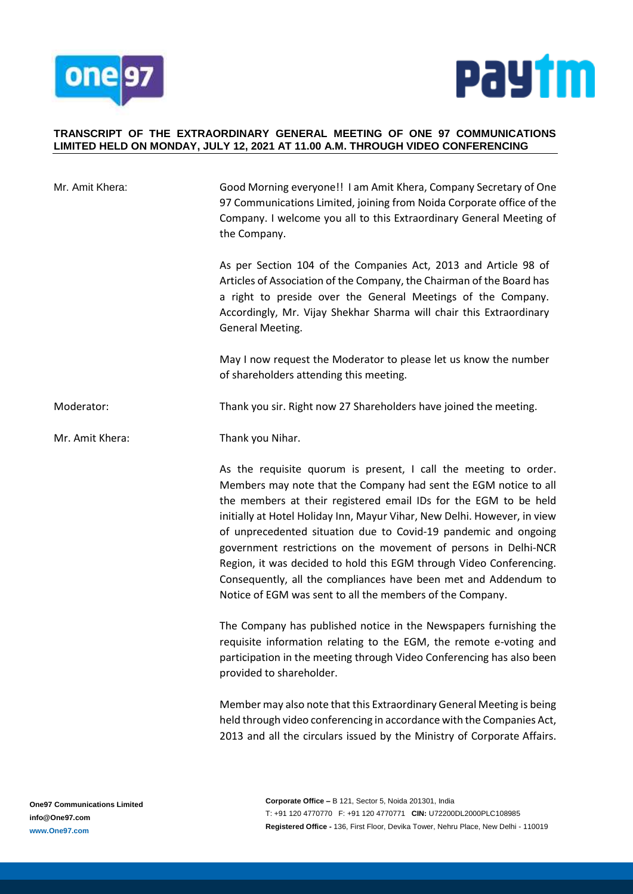



#### **TRANSCRIPT OF THE EXTRAORDINARY GENERAL MEETING OF ONE 97 COMMUNICATIONS LIMITED HELD ON MONDAY, JULY 12, 2021 AT 11.00 A.M. THROUGH VIDEO CONFERENCING**

| Mr. Amit Khera: | Good Morning everyone!! I am Amit Khera, Company Secretary of One<br>97 Communications Limited, joining from Noida Corporate office of the<br>Company. I welcome you all to this Extraordinary General Meeting of<br>the Company.                                                                                                                                                                                                                                                                                                                                                                                                 |
|-----------------|-----------------------------------------------------------------------------------------------------------------------------------------------------------------------------------------------------------------------------------------------------------------------------------------------------------------------------------------------------------------------------------------------------------------------------------------------------------------------------------------------------------------------------------------------------------------------------------------------------------------------------------|
|                 | As per Section 104 of the Companies Act, 2013 and Article 98 of<br>Articles of Association of the Company, the Chairman of the Board has<br>a right to preside over the General Meetings of the Company.<br>Accordingly, Mr. Vijay Shekhar Sharma will chair this Extraordinary<br>General Meeting.                                                                                                                                                                                                                                                                                                                               |
|                 | May I now request the Moderator to please let us know the number<br>of shareholders attending this meeting.                                                                                                                                                                                                                                                                                                                                                                                                                                                                                                                       |
| Moderator:      | Thank you sir. Right now 27 Shareholders have joined the meeting.                                                                                                                                                                                                                                                                                                                                                                                                                                                                                                                                                                 |
| Mr. Amit Khera: | Thank you Nihar.                                                                                                                                                                                                                                                                                                                                                                                                                                                                                                                                                                                                                  |
|                 | As the requisite quorum is present, I call the meeting to order.<br>Members may note that the Company had sent the EGM notice to all<br>the members at their registered email IDs for the EGM to be held<br>initially at Hotel Holiday Inn, Mayur Vihar, New Delhi. However, in view<br>of unprecedented situation due to Covid-19 pandemic and ongoing<br>government restrictions on the movement of persons in Delhi-NCR<br>Region, it was decided to hold this EGM through Video Conferencing.<br>Consequently, all the compliances have been met and Addendum to<br>Notice of EGM was sent to all the members of the Company. |
|                 | The Company has published notice in the Newspapers furnishing the<br>requisite information relating to the EGM, the remote e-voting and<br>participation in the meeting through Video Conferencing has also been<br>provided to shareholder.                                                                                                                                                                                                                                                                                                                                                                                      |
|                 | Member may also note that this Extraordinary General Meeting is being<br>held through video conferencing in accordance with the Companies Act,<br>2013 and all the circulars issued by the Ministry of Corporate Affairs.                                                                                                                                                                                                                                                                                                                                                                                                         |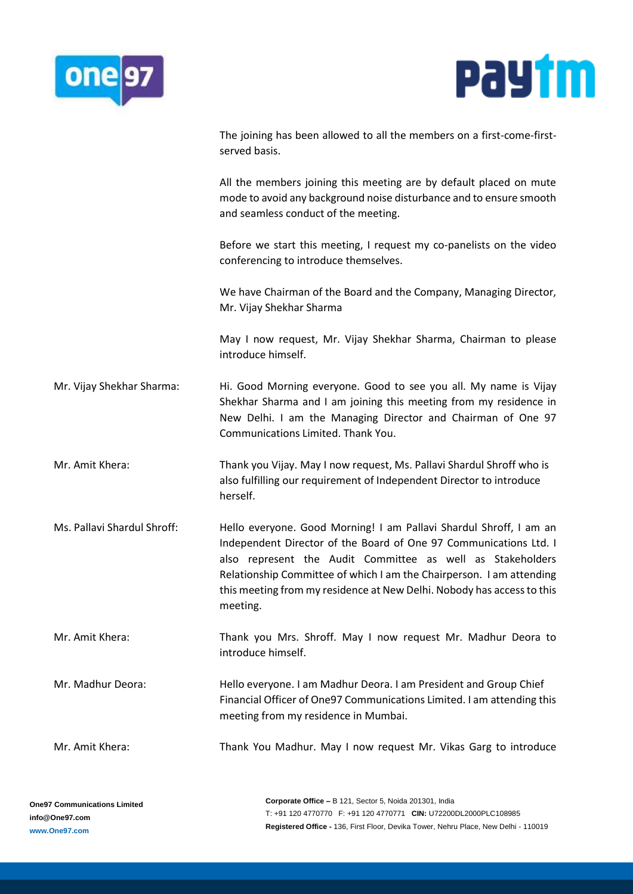



The joining has been allowed to all the members on a first-come-firstserved basis.

All the members joining this meeting are by default placed on mute mode to avoid any background noise disturbance and to ensure smooth and seamless conduct of the meeting.

Before we start this meeting, I request my co-panelists on the video conferencing to introduce themselves.

We have Chairman of the Board and the Company, Managing Director, Mr. Vijay Shekhar Sharma

May I now request, Mr. Vijay Shekhar Sharma, Chairman to please introduce himself.

- Mr. Vijay Shekhar Sharma: Hi. Good Morning everyone. Good to see you all. My name is Vijay Shekhar Sharma and I am joining this meeting from my residence in New Delhi. I am the Managing Director and Chairman of One 97 Communications Limited. Thank You.
- Mr. Amit Khera: Thank you Vijay. May I now request, Ms. Pallavi Shardul Shroff who is also fulfilling our requirement of Independent Director to introduce herself.
- Ms. Pallavi Shardul Shroff: Hello everyone. Good Morning! I am Pallavi Shardul Shroff, I am an Independent Director of the Board of One 97 Communications Ltd. I also represent the Audit Committee as well as Stakeholders Relationship Committee of which I am the Chairperson. I am attending this meeting from my residence at New Delhi. Nobody has access to this meeting.
- Mr. Amit Khera: Thank you Mrs. Shroff. May I now request Mr. Madhur Deora to introduce himself.
- Mr. Madhur Deora: Hello everyone. I am Madhur Deora. I am President and Group Chief Financial Officer of One97 Communications Limited. I am attending this meeting from my residence in Mumbai.
- Mr. Amit Khera: Thank You Madhur. May I now request Mr. Vikas Garg to introduce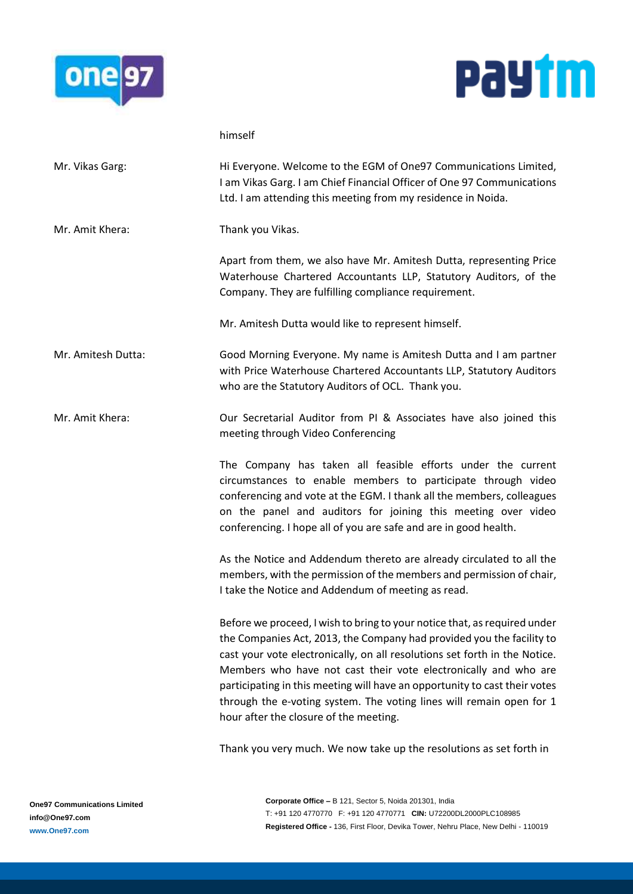



|                    | himself                                                                                                                                                                                                                                                                                                                                                                                                                                                                                             |
|--------------------|-----------------------------------------------------------------------------------------------------------------------------------------------------------------------------------------------------------------------------------------------------------------------------------------------------------------------------------------------------------------------------------------------------------------------------------------------------------------------------------------------------|
| Mr. Vikas Garg:    | Hi Everyone. Welcome to the EGM of One97 Communications Limited,<br>I am Vikas Garg. I am Chief Financial Officer of One 97 Communications<br>Ltd. I am attending this meeting from my residence in Noida.                                                                                                                                                                                                                                                                                          |
| Mr. Amit Khera:    | Thank you Vikas.                                                                                                                                                                                                                                                                                                                                                                                                                                                                                    |
|                    | Apart from them, we also have Mr. Amitesh Dutta, representing Price<br>Waterhouse Chartered Accountants LLP, Statutory Auditors, of the<br>Company. They are fulfilling compliance requirement.                                                                                                                                                                                                                                                                                                     |
|                    | Mr. Amitesh Dutta would like to represent himself.                                                                                                                                                                                                                                                                                                                                                                                                                                                  |
| Mr. Amitesh Dutta: | Good Morning Everyone. My name is Amitesh Dutta and I am partner<br>with Price Waterhouse Chartered Accountants LLP, Statutory Auditors<br>who are the Statutory Auditors of OCL. Thank you.                                                                                                                                                                                                                                                                                                        |
| Mr. Amit Khera:    | Our Secretarial Auditor from PI & Associates have also joined this<br>meeting through Video Conferencing                                                                                                                                                                                                                                                                                                                                                                                            |
|                    | The Company has taken all feasible efforts under the current<br>circumstances to enable members to participate through video<br>conferencing and vote at the EGM. I thank all the members, colleagues<br>on the panel and auditors for joining this meeting over video<br>conferencing. I hope all of you are safe and are in good health.                                                                                                                                                          |
|                    | As the Notice and Addendum thereto are already circulated to all the<br>members, with the permission of the members and permission of chair,<br>I take the Notice and Addendum of meeting as read.                                                                                                                                                                                                                                                                                                  |
|                    | Before we proceed, I wish to bring to your notice that, as required under<br>the Companies Act, 2013, the Company had provided you the facility to<br>cast your vote electronically, on all resolutions set forth in the Notice.<br>Members who have not cast their vote electronically and who are<br>participating in this meeting will have an opportunity to cast their votes<br>through the e-voting system. The voting lines will remain open for 1<br>hour after the closure of the meeting. |

Thank you very much. We now take up the resolutions as set forth in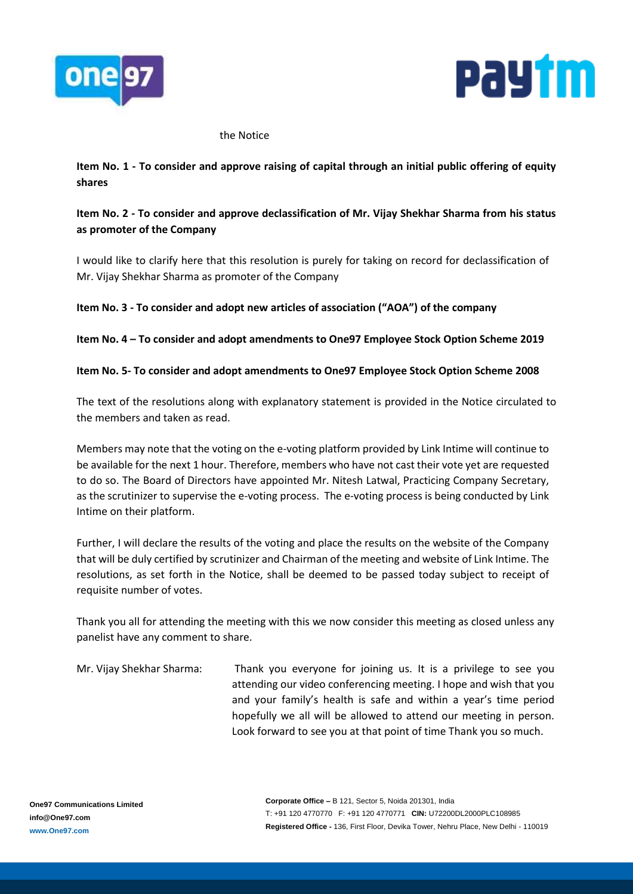



#### the Notice

## **Item No. 1 - To consider and approve raising of capital through an initial public offering of equity shares**

# **Item No. 2 - To consider and approve declassification of Mr. Vijay Shekhar Sharma from his status as promoter of the Company**

I would like to clarify here that this resolution is purely for taking on record for declassification of Mr. Vijay Shekhar Sharma as promoter of the Company

## **Item No. 3 - To consider and adopt new articles of association ("AOA") of the company**

### **Item No. 4 – To consider and adopt amendments to One97 Employee Stock Option Scheme 2019**

### **Item No. 5- To consider and adopt amendments to One97 Employee Stock Option Scheme 2008**

The text of the resolutions along with explanatory statement is provided in the Notice circulated to the members and taken as read.

Members may note that the voting on the e-voting platform provided by Link Intime will continue to be available for the next 1 hour. Therefore, members who have not cast their vote yet are requested to do so. The Board of Directors have appointed Mr. Nitesh Latwal, Practicing Company Secretary, as the scrutinizer to supervise the e-voting process. The e-voting process is being conducted by Link Intime on their platform.

Further, I will declare the results of the voting and place the results on the website of the Company that will be duly certified by scrutinizer and Chairman of the meeting and website of Link Intime. The resolutions, as set forth in the Notice, shall be deemed to be passed today subject to receipt of requisite number of votes.

Thank you all for attending the meeting with this we now consider this meeting as closed unless any panelist have any comment to share.

Mr. Vijay Shekhar Sharma: Thank you everyone for joining us. It is a privilege to see you attending our video conferencing meeting. I hope and wish that you and your family's health is safe and within a year's time period hopefully we all will be allowed to attend our meeting in person. Look forward to see you at that point of time Thank you so much.

**Corporate Office –** B 121, Sector 5, Noida 201301, India T: +91 120 4770770 F: +91 120 4770771 **CIN:** U72200DL2000PLC108985 **Registered Office -** 136, First Floor, Devika Tower, Nehru Place, New Delhi - 110019